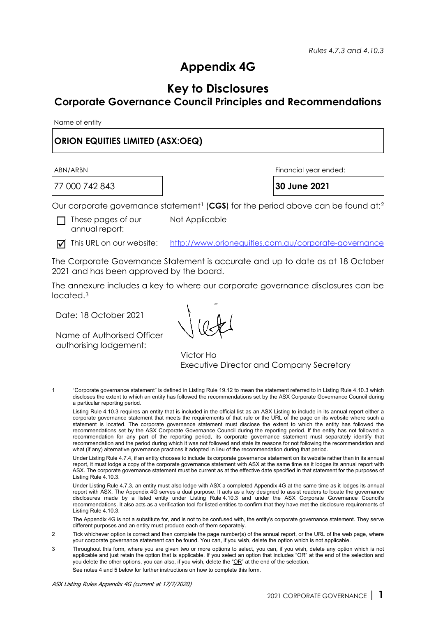# **Appendix 4G**

## **Key to Disclosures**

## **Corporate Governance Council Principles and Recommendations**

Name of entity

### **[ORION EQUITIES LIMITED](http://www.orionequities.com.au/) (ASX:OEQ)**

77 000 742 843 **30 June 2021**

ABN/ARBN Financial year ended:

Our corporate governance statement<sup>[1](#page-0-0)</sup> (CGS) for the period above can be found at:<sup>[2](#page-0-1)</sup>

 $\Box$  These pages of our annual report:

Not Applicable

This URL on our website: <http://www.orionequities.com.au/corporate-governance>

The Corporate Governance Statement is accurate and up to date as at 18 October 2021 and has been approved by the board.

The annexure includes a key to where our corporate governance disclosures can be located.[3](#page-0-2)

Date: 18 October 2021

Name of Authorised Officer authorising lodgement:

Victor Ho Executive Director and Company Secretary

The Appendix 4G is not a substitute for, and is not to be confused with, the entity's corporate governance statement. They serve different purposes and an entity must produce each of them separately.

See notes 4 and 5 below for further instructions on how to complete this form.

<span id="page-0-0"></span><sup>1</sup> "Corporate governance statement" is defined in Listing Rule 19.12 to mean the statement referred to in Listing Rule 4.10.3 which discloses the extent to which an entity has followed the recommendations set by the ASX Corporate Governance Council during a particular reporting period.

Listing Rule 4.10.3 requires an entity that is included in the official list as an ASX Listing to include in its annual report either a corporate governance statement that meets the requirements of that rule or the URL of the page on its website where such a statement is located. The corporate governance statement must disclose the extent to which the entity has followed the recommendations set by the ASX Corporate Governance Council during the reporting period. If the entity has not followed a recommendation for any part of the reporting period, its corporate governance statement must separately identify that recommendation and the period during which it was not followed and state its reasons for not following the recommendation and what (if any) alternative governance practices it adopted in lieu of the recommendation during that period.

Under Listing Rule 4.7.4, if an entity chooses to include its corporate governance statement on its website rather than in its annual report, it must lodge a copy of the corporate governance statement with ASX at the same time as it lodges its annual report with ASX. The corporate governance statement must be current as at the effective date specified in that statement for the purposes of Listing Rule 4.10.3.

Under Listing Rule 4.7.3, an entity must also lodge with ASX a completed Appendix 4G at the same time as it lodges its annual report with ASX. The Appendix 4G serves a dual purpose. It acts as a key designed to assist readers to locate the governance disclosures made by a listed entity under Listing Rule 4.10.3 and under the ASX Corporate Governance Council's recommendations. It also acts as a verification tool for listed entities to confirm that they have met the disclosure requirements of Listing Rule 4.10.3.

<span id="page-0-1"></span><sup>2</sup> Tick whichever option is correct and then complete the page number(s) of the annual report, or the URL of the web page, where your corporate governance statement can be found. You can, if you wish, delete the option which is not applicable.

<span id="page-0-2"></span><sup>3</sup> Throughout this form, where you are given two or more options to select, you can, if you wish, delete any option which is not applicable and just retain the option that is applicable. If you select an option that includes "OR" at the end of the selection and you delete the other options, you can also, if you wish, delete the "OR" at the end of the selection.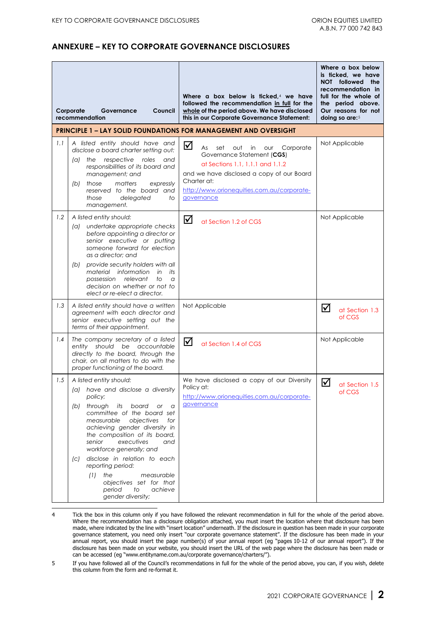#### **ANNEXURE – KEY TO CORPORATE GOVERNANCE DISCLOSURES**

|     | Corporate<br>Governance<br>Council<br>recommendation                                                                                                                                                                                                                                                                                                                                                                                                                         | Where a box below is ficked, $4$ we have<br>followed the recommendation in full for the<br>whole of the period above. We have disclosed<br>this in our Corporate Governance Statement:                                                    | Where a box below<br>is ticked, we have<br>NOT followed<br>the<br>recommendation in<br>full for the whole of<br>the period above.<br>Our reasons for not<br>doing so are:5 |  |
|-----|------------------------------------------------------------------------------------------------------------------------------------------------------------------------------------------------------------------------------------------------------------------------------------------------------------------------------------------------------------------------------------------------------------------------------------------------------------------------------|-------------------------------------------------------------------------------------------------------------------------------------------------------------------------------------------------------------------------------------------|----------------------------------------------------------------------------------------------------------------------------------------------------------------------------|--|
|     |                                                                                                                                                                                                                                                                                                                                                                                                                                                                              | <b>PRINCIPLE 1 - LAY SOLID FOUNDATIONS FOR MANAGEMENT AND OVERSIGHT</b>                                                                                                                                                                   |                                                                                                                                                                            |  |
| 1.1 | A listed entity should have and<br>disclose a board charter setting out:<br>respective roles<br>(a) the<br>and<br>responsibilities of its board and<br>management; and<br>those<br>matters<br>expressly<br>(b)<br>reserved to the board and<br>delegated<br>those<br>to<br>management.                                                                                                                                                                                       | ☑<br>Corporate<br>As<br>set<br>out<br>in<br>our<br>Governance Statement (CGS)<br>at Sections 1.1, 1.1.1 and 1.1.2<br>and we have disclosed a copy of our Board<br>Charter at:<br>http://www.orionequities.com.au/corporate-<br>governance | Not Applicable                                                                                                                                                             |  |
| 1.2 | A listed entity should:<br>undertake appropriate checks<br>(a)<br>before appointing a director or<br>senior executive or putting<br>someone forward for election<br>as a director; and<br>provide security holders with all<br>(b)<br>material information<br>in<br>its<br>possession<br>relevant<br>to<br>$\alpha$<br>decision on whether or not to<br>elect or re-elect a director.                                                                                        | ☑<br>at Section 1.2 of CGS                                                                                                                                                                                                                | Not Applicable                                                                                                                                                             |  |
| 1.3 | A listed entity should have a written<br>agreement with each director and<br>senior executive setting out the<br>terms of their appointment.                                                                                                                                                                                                                                                                                                                                 | Not Applicable                                                                                                                                                                                                                            | ⋈<br>at Section 1.3<br>of CGS                                                                                                                                              |  |
| 1.4 | The company secretary of a listed<br>entity should be accountable<br>directly to the board, through the<br>chair, on all matters to do with the<br>proper functioning of the board.                                                                                                                                                                                                                                                                                          | ☑<br>at Section 1.4 of CGS                                                                                                                                                                                                                | Not Applicable                                                                                                                                                             |  |
| 1.5 | A listed entity should:<br>(a) have and disclose a diversity<br>policy;<br>through<br>its<br>board or a<br>(b)<br>committee of the board set<br>measurable objectives<br>for<br>achieving gender diversity in<br>the composition of its board,<br>senior<br>executives<br>and<br>workforce generally; and<br>disclose in relation to each<br>(C)<br>reporting period:<br>the<br>measurable<br>(1)<br>objectives set for that<br>period<br>to<br>achieve<br>gender diversity; | We have disclosed a copy of our Diversity<br>Policy at:<br>http://www.orionequities.com.au/corporate-<br>governance                                                                                                                       | ☑<br>at Section 1.5<br>of CGS                                                                                                                                              |  |

<span id="page-1-0"></span><sup>4</sup> Tick the box in this column only if you have followed the relevant recommendation in full for the whole of the period above. Where the recommendation has a disclosure obligation attached, you must insert the location where that disclosure has been made, where indicated by the line with "insert location" underneath. If the disclosure in question has been made in your corporate governance statement, you need only insert "our corporate governance statement". If the disclosure has been made in your annual report, you should insert the page number(s) of your annual report (eg "pages 10-12 of our annual report"). If the disclosure has been made on your website, you should insert the URL of the web page where the disclosure has been made or can be accessed (eg "www.entityname.com.au/corporate governance/charters/").

<span id="page-1-1"></span><sup>5</sup> If you have followed all of the Council's recommendations in full for the whole of the period above, you can, if you wish, delete this column from the form and re-format it.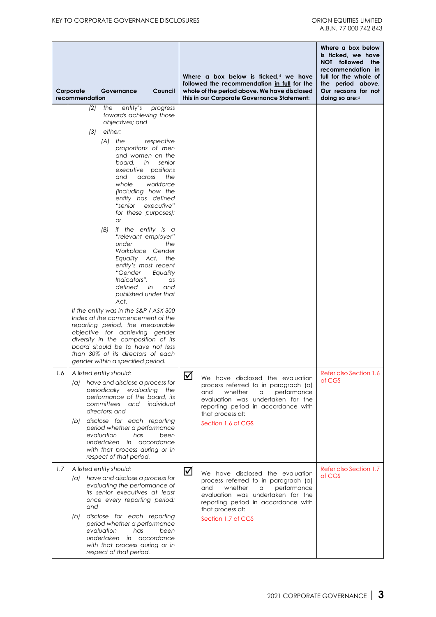|     | Corporate<br>Governance<br>Council<br>recommendation                                                                                                                                                                                                                                                                                                                                                                                                                                                                                                                                        | Where a box below is ficked, $4$ we have<br>followed the recommendation in full for the<br>whole of the period above. We have disclosed<br>this in our Corporate Governance Statement:                                     | Where a box below<br>is ticked, we have<br>NOT followed the<br>recommendation in<br>full for the whole of<br>the period above.<br>Our reasons for not<br>doing so are: $5$ |
|-----|---------------------------------------------------------------------------------------------------------------------------------------------------------------------------------------------------------------------------------------------------------------------------------------------------------------------------------------------------------------------------------------------------------------------------------------------------------------------------------------------------------------------------------------------------------------------------------------------|----------------------------------------------------------------------------------------------------------------------------------------------------------------------------------------------------------------------------|----------------------------------------------------------------------------------------------------------------------------------------------------------------------------|
|     | entity's<br>(2)<br>the<br>progress<br>towards achieving those<br>objectives; and<br>either:<br>(3)<br>(A)<br>the<br>respective<br>proportions of men<br>and women on the<br>board.<br>senior<br>in<br>executive positions<br>and<br>the<br>across<br>whole<br>workforce<br>(including how the<br>entity has defined<br>executive"<br>"senior<br>for these purposes);<br><b>or</b><br>(B)<br>if the entity is a<br>"relevant employer"<br>under<br>the<br>Workplace Gender<br>Equality Act, the<br>entity's most recent<br>"Gender<br>Equality<br>Indicators",<br>as<br>defined<br>in<br>and |                                                                                                                                                                                                                            |                                                                                                                                                                            |
|     | published under that<br>Act.<br>If the entity was in the S&P / ASX 300<br>Index at the commencement of the<br>reporting period, the measurable<br>objective for achieving gender<br>diversity in the composition of its<br>board should be to have not less<br>than 30% of its directors of each<br>gender within a specified period.                                                                                                                                                                                                                                                       |                                                                                                                                                                                                                            |                                                                                                                                                                            |
| 1.6 | A listed entity should:<br>have and disclose a process for<br>(a)<br>periodically evaluating the<br>performance of the board, its<br>committees<br>and<br>individual<br>directors; and<br>disclose for each reporting<br>(b)<br>period whether a performance<br>evaluation<br>has<br>been<br>undertaken<br>in accordance<br>with that process during or in<br>respect of that period.                                                                                                                                                                                                       | ☑<br>We have disclosed the evaluation<br>process referred to in paragraph (a)<br>and<br>whether<br>a<br>evaluation was undertaken for the<br>reporting period in accordance with<br>that process at:<br>Section 1.6 of CGS | <b>Refer also Section 1.6</b><br>of CGS<br>performance                                                                                                                     |
| 1.7 | A listed entity should:<br>have and disclose a process for<br>(a)<br>evaluating the performance of<br>its senior executives at least<br>once every reporting period;<br>and<br>disclose for each reporting<br>(b)<br>period whether a performance<br>evaluation<br>has<br>been<br>undertaken<br>in accordance<br>with that process during or in<br>respect of that period.                                                                                                                                                                                                                  | ☑<br>We have disclosed the evaluation<br>process referred to in paragraph (a)<br>and<br>whether<br>a<br>evaluation was undertaken for the<br>reporting period in accordance with<br>that process at:<br>Section 1.7 of CGS | Refer also Section 1.7<br>of CGS<br>performance                                                                                                                            |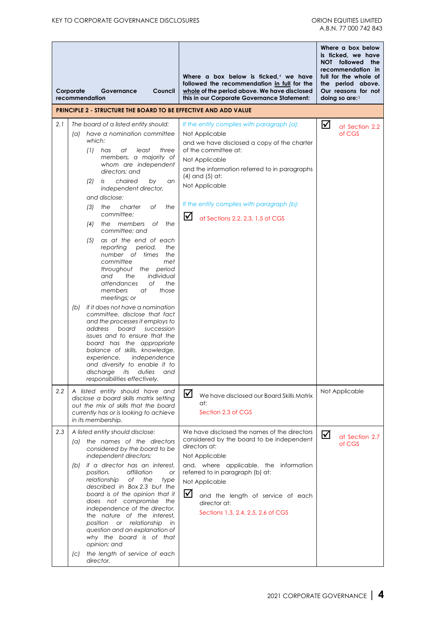|               | Corporate<br>Governance<br>Council<br>recommendation                                                                                                                                                                                                                                                                                                                                                                                                                                                                                                                                                                                                                                                                                                                                                                                                                                                                                                                                                                     | Where a box below is ficked, $4$ we have<br>followed the recommendation in full for the<br>whole of the period above. We have disclosed<br>this in our Corporate Governance Statement:                                                                                                                                             | Where a box below<br>is ticked, we have<br>NOT followed<br>the<br>recommendation in<br>full for the whole of<br>the period above.<br>Our reasons for not<br>doing so are: $5$ |
|---------------|--------------------------------------------------------------------------------------------------------------------------------------------------------------------------------------------------------------------------------------------------------------------------------------------------------------------------------------------------------------------------------------------------------------------------------------------------------------------------------------------------------------------------------------------------------------------------------------------------------------------------------------------------------------------------------------------------------------------------------------------------------------------------------------------------------------------------------------------------------------------------------------------------------------------------------------------------------------------------------------------------------------------------|------------------------------------------------------------------------------------------------------------------------------------------------------------------------------------------------------------------------------------------------------------------------------------------------------------------------------------|-------------------------------------------------------------------------------------------------------------------------------------------------------------------------------|
|               | <b>PRINCIPLE 2 - STRUCTURE THE BOARD TO BE EFFECTIVE AND ADD VALUE</b>                                                                                                                                                                                                                                                                                                                                                                                                                                                                                                                                                                                                                                                                                                                                                                                                                                                                                                                                                   |                                                                                                                                                                                                                                                                                                                                    |                                                                                                                                                                               |
| 2.1           | The board of a listed entity should:<br>have a nomination committee<br>(a)<br>which:<br>$(1)$ has<br>at<br>least<br>three<br>members, a majority of<br>whom are independent<br>directors: and<br>chaired<br>(2)<br>is<br>by<br>an<br>independent director,<br>and disclose:<br>charter<br>Оf<br>the<br>the<br>(3)<br>committee:<br>members<br>(4)<br>Оf<br>the<br>the<br>committee; and<br>as at the end of each<br>(5)<br>reporting<br>period,<br>the<br>number of<br>times<br>the<br>committee<br>met<br>throughout the period<br>the<br>individual<br>and<br>attendances<br>Оf<br>the<br>members<br>at<br>those<br>meetings; or<br>if it does not have a nomination<br>(b)<br>committee, disclose that fact<br>and the processes it employs to<br>address<br>board<br>succession<br>issues and to ensure that the<br>board has the appropriate<br>balance of skills, knowledge,<br>experience,<br>independence<br>and diversity to enable it to<br>discharge<br>its<br>duties<br>and<br>responsibilities effectively. | If the entity complies with paragraph (a):<br>Not Applicable<br>and we have disclosed a copy of the charter<br>of the committee at:<br>Not Applicable<br>and the information referred to in paragraphs<br>(4) and (5) at:<br>Not Applicable<br>If the entity complies with paragraph (b):<br>☑<br>at Sections 2.2, 2.3, 1.5 of CGS | ☑<br>at Section 2.2<br>of CGS                                                                                                                                                 |
| $2.2^{\circ}$ | A listed entity should have and<br>disclose a board skills matrix setting<br>out the mix of skills that the board<br>currently has or is looking to achieve<br>in its membership.                                                                                                                                                                                                                                                                                                                                                                                                                                                                                                                                                                                                                                                                                                                                                                                                                                        | ☑<br>We have disclosed our Board Skills Matrix<br>at:<br>Section 2.3 of CGS                                                                                                                                                                                                                                                        | Not Applicable                                                                                                                                                                |
| 2.3           | A listed entity should disclose:<br>the names of the directors<br>(a)<br>considered by the board to be<br>independent directors;<br>if a director has an interest,<br>(b)<br>affiliation<br>position,<br>or<br>relationship<br>оf<br>the<br>type<br>described in Box 2.3 but the<br>board is of the opinion that it<br>does not compromise the<br>independence of the director,<br>the nature of the interest,<br>position or relationship<br>in<br>question and an explanation of<br>why the board is of that<br>opinion; and<br>the length of service of each<br>$\left( c\right)$<br>director.                                                                                                                                                                                                                                                                                                                                                                                                                        | We have disclosed the names of the directors<br>considered by the board to be independent<br>directors at:<br>Not Applicable<br>and, where applicable, the information<br>referred to in paragraph (b) at:<br>Not Applicable<br>☑<br>and the length of service of each<br>director at:<br>Sections 1.3, 2.4, 2.5, 2.6 of CGS       | ☑<br>at Section 2.7<br>of CGS                                                                                                                                                 |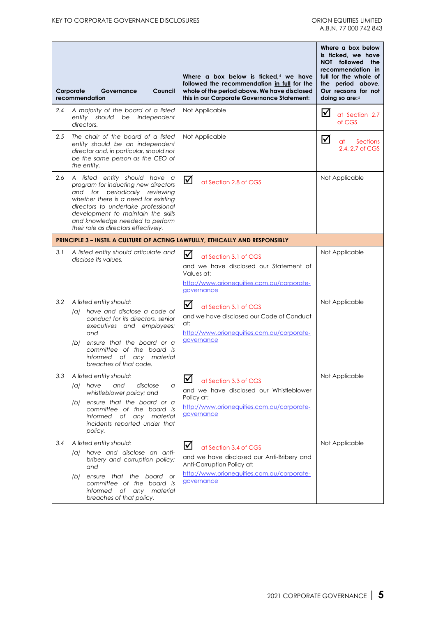|     | Corporate<br>Governance<br>Council<br>recommendation                                                                                                                                                                                                                                                   | Where a box below is ficked. $4$ we have<br>followed the recommendation in full for the<br>whole of the period above. We have disclosed<br>this in our Corporate Governance Statement: | Where a box below<br>is ticked, we have<br>NOT followed<br>the<br>recommendation in<br>full for the whole of<br>the period above.<br>Our reasons for not<br>doing so are:5 |
|-----|--------------------------------------------------------------------------------------------------------------------------------------------------------------------------------------------------------------------------------------------------------------------------------------------------------|----------------------------------------------------------------------------------------------------------------------------------------------------------------------------------------|----------------------------------------------------------------------------------------------------------------------------------------------------------------------------|
| 2.4 | A majority of the board of a listed<br>should<br>be independent<br>entity<br>directors.                                                                                                                                                                                                                | Not Applicable                                                                                                                                                                         | ⋈<br>at Section 2.7<br>of CGS                                                                                                                                              |
| 2.5 | The chair of the board of a listed<br>entity should be an independent<br>director and, in particular, should not<br>be the same person as the CEO of<br>the entity.                                                                                                                                    | Not Applicable                                                                                                                                                                         | ☑<br>Sections<br>at<br>2.4, 2.7 of CGS                                                                                                                                     |
| 2.6 | A listed entity should have a<br>program for inducting new directors<br>and for periodically reviewing<br>whether there is a need for existing<br>directors to undertake professional<br>development to maintain the skills<br>and knowledge needed to perform<br>their role as directors effectively. | ☑<br>at Section 2.8 of CGS                                                                                                                                                             | Not Applicable                                                                                                                                                             |
|     |                                                                                                                                                                                                                                                                                                        | <b>PRINCIPLE 3 - INSTIL A CULTURE OF ACTING LAWFULLY, ETHICALLY AND RESPONSIBLY</b>                                                                                                    |                                                                                                                                                                            |
| 3.1 | A listed entity should articulate and<br>disclose its values.                                                                                                                                                                                                                                          | ☑<br>at Section 3.1 of CGS<br>and we have disclosed our Statement of<br>Values at:<br>http://www.orionequities.com.au/corporate-<br>governance                                         | Not Applicable                                                                                                                                                             |
| 3.2 | A listed entity should:<br>have and disclose a code of<br>(a)<br>conduct for its directors, senior<br>executives and employees;<br>and<br>ensure that the board or a<br>(b)<br>committee of the board is<br>informed<br>of _<br>material<br>any<br>breaches of that code.                              | ⊻<br>at Section 3.1 of CGS<br>and we have disclosed our Code of Conduct<br>at:<br>http://www.orionequities.com.au/corporate-<br>governance                                             | Not Applicable                                                                                                                                                             |
| 3.3 | A listed entity should:<br>(a) have<br>and<br>disclose<br>a<br>whistleblower policy; and<br>ensure that the board or a<br>(b)<br>committee of the board is<br>informed of any material<br>incidents reported under that<br>policy.                                                                     | ⊻<br>at Section 3.3 of CGS<br>and we have disclosed our Whistleblower<br>Policy at:<br>http://www.orionequities.com.au/corporate-<br>governance                                        | Not Applicable                                                                                                                                                             |
| 3.4 | A listed entity should:<br>have and disclose an anti-<br>(a)<br>bribery and corruption policy;<br>and<br>ensure that the board or<br>(b)<br>committee of the board is<br>informed of any material<br>breaches of that policy.                                                                          | ☑<br>at Section 3.4 of CGS<br>and we have disclosed our Anti-Bribery and<br>Anti-Corruption Policy at:<br>http://www.orionequities.com.au/corporate-<br>governance                     | Not Applicable                                                                                                                                                             |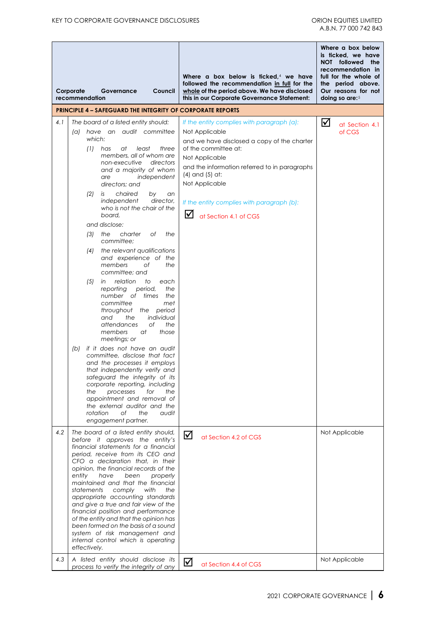|            | Corporate<br>recommendation |                                                  | Governance                                                                                                                                                                                                                                                                                                                                                                                                                                                                                                                                                                                                                                                                                                                                                                                                                   | Council                                                                                                                                                                                             |                      | Where a box below is ficked. $4$ we have<br>followed the recommendation in full for the<br>whole of the period above. We have disclosed<br>this in our Corporate Governance Statement:                                                                                                                                 | doing so are: $5$ | Where a box below<br>is ticked, we have<br>NOT followed<br>the<br>recommendation in<br>full for the whole of<br>the period above.<br>Our reasons for not |
|------------|-----------------------------|--------------------------------------------------|------------------------------------------------------------------------------------------------------------------------------------------------------------------------------------------------------------------------------------------------------------------------------------------------------------------------------------------------------------------------------------------------------------------------------------------------------------------------------------------------------------------------------------------------------------------------------------------------------------------------------------------------------------------------------------------------------------------------------------------------------------------------------------------------------------------------------|-----------------------------------------------------------------------------------------------------------------------------------------------------------------------------------------------------|----------------------|------------------------------------------------------------------------------------------------------------------------------------------------------------------------------------------------------------------------------------------------------------------------------------------------------------------------|-------------------|----------------------------------------------------------------------------------------------------------------------------------------------------------|
|            |                             |                                                  | <b>PRINCIPLE 4 – SAFEGUARD THE INTEGRITY OF CORPORATE REPORTS</b>                                                                                                                                                                                                                                                                                                                                                                                                                                                                                                                                                                                                                                                                                                                                                            |                                                                                                                                                                                                     |                      |                                                                                                                                                                                                                                                                                                                        |                   |                                                                                                                                                          |
| 4.1        | (a)<br>(b)                  | which:<br>(1)<br>(2)<br>(3)<br>(4)<br>(5)<br>the | The board of a listed entity should:<br>have an audit committee<br>has<br>at<br>members, all of whom are<br>non-executive<br>and a majority of whom<br>are<br>directors; and<br>chaired<br>is<br>independent<br>who is not the chair of the<br>board.<br>and disclose:<br>the<br>charter<br>committee:<br>the relevant qualifications<br>and experience of the<br>members<br>committee; and<br>relation<br>in<br>reporting<br>number of times<br>committee<br>throughout the period<br>and<br>the<br>attendances<br>members<br>meetings; or<br>if it does not have an audit<br>committee, disclose that fact<br>and the processes it employs<br>that independently verify and<br>safeguard the integrity of its<br>corporate reporting, including<br>processes<br>appointment and removal of<br>the external auditor and the | least<br>three<br>directors<br>independent<br>by<br>an<br>director,<br>Οf<br>the<br>Оf<br>the<br>to<br>each<br>period,<br>the<br>the<br>met<br>individual<br>оf<br>the<br>at<br>those<br>for<br>the | $\blacktriangledown$ | If the entity complies with paragraph (a):<br>Not Applicable<br>and we have disclosed a copy of the charter<br>of the committee at:<br>Not Applicable<br>and the information referred to in paragraphs<br>$(4)$ and $(5)$ at:<br>Not Applicable<br>If the entity complies with paragraph (b):<br>at Section 4.1 of CGS | ☑                 | at Section 4.1<br>of CGS                                                                                                                                 |
| 4.2<br>4.3 | entity                      | rotation<br>statements<br>effectively.           | Оf<br>the<br>engagement partner.<br>The board of a listed entity should,<br>before it approves the entity's<br>financial statements for a financial<br>period, receive from its CEO and<br>CFO a declaration that, in their<br>opinion, the financial records of the<br>have<br>been<br>maintained and that the financial<br>comply<br>appropriate accounting standards<br>and give a true and fair view of the<br>financial position and performance<br>of the entity and that the opinion has<br>been formed on the basis of a sound<br>system of risk management and<br>internal control which is operating<br>A listed entity should disclose its<br>process to verify the integrity of any                                                                                                                              | audit<br>properly<br>with<br>the                                                                                                                                                                    | ☑<br>⊻               | at Section 4.2 of CGS<br>at Section 4.4 of CGS                                                                                                                                                                                                                                                                         |                   | Not Applicable<br>Not Applicable                                                                                                                         |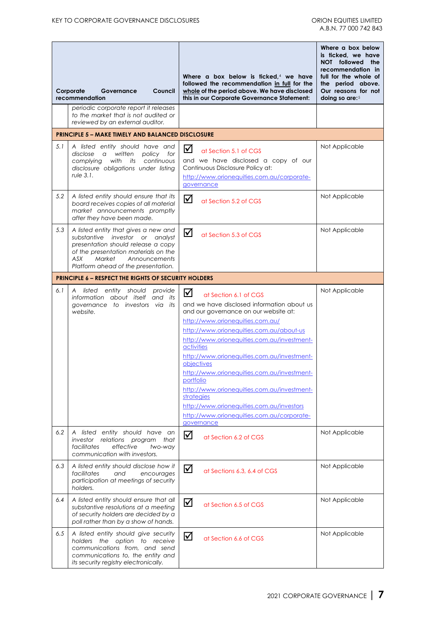|     | Council<br>Corporate<br>Governance<br>recommendation                                                                                                                                                                           | Where a box below is ficked, $4$ we have<br>followed the recommendation in full for the<br>whole of the period above. We have disclosed<br>this in our Corporate Governance Statement:                                                                                                                                                                                                                                                                                                                                                                        | Where a box below<br>is ticked, we have<br>NOT followed the<br>recommendation in<br>full for the whole of<br>the period above.<br>Our reasons for not<br>doing so are: 5 |
|-----|--------------------------------------------------------------------------------------------------------------------------------------------------------------------------------------------------------------------------------|---------------------------------------------------------------------------------------------------------------------------------------------------------------------------------------------------------------------------------------------------------------------------------------------------------------------------------------------------------------------------------------------------------------------------------------------------------------------------------------------------------------------------------------------------------------|--------------------------------------------------------------------------------------------------------------------------------------------------------------------------|
|     | periodic corporate report it releases<br>to the market that is not audited or<br>reviewed by an external auditor.                                                                                                              |                                                                                                                                                                                                                                                                                                                                                                                                                                                                                                                                                               |                                                                                                                                                                          |
|     | <b>PRINCIPLE 5 - MAKE TIMELY AND BALANCED DISCLOSURE</b>                                                                                                                                                                       |                                                                                                                                                                                                                                                                                                                                                                                                                                                                                                                                                               |                                                                                                                                                                          |
| 5.1 | A listed entity should have and<br>disclose<br>written<br>policy for<br>$\alpha$<br>with its<br>continuous<br>complying<br>disclosure obligations under listing<br>rule 3.1.                                                   | ☑<br>at Section 5.1 of CGS<br>and we have disclosed a copy of our<br>Continuous Disclosure Policy at:<br>http://www.orionequities.com.au/corporate-<br>governance                                                                                                                                                                                                                                                                                                                                                                                             | Not Applicable                                                                                                                                                           |
| 5.2 | A listed entity should ensure that its<br>board receives copies of all material<br>market announcements promptly<br>after they have been made.                                                                                 | ☑<br>at Section 5.2 of CGS                                                                                                                                                                                                                                                                                                                                                                                                                                                                                                                                    | Not Applicable                                                                                                                                                           |
| 5.3 | A listed entity that gives a new and<br>substantive investor or analyst<br>presentation should release a copy<br>of the presentation materials on the<br>ASX<br>Market<br>Announcements<br>Platform ahead of the presentation. | ☑<br>at Section 5.3 of CGS                                                                                                                                                                                                                                                                                                                                                                                                                                                                                                                                    | Not Applicable                                                                                                                                                           |
|     | <b>PRINCIPLE 6 - RESPECT THE RIGHTS OF SECURITY HOLDERS</b>                                                                                                                                                                    |                                                                                                                                                                                                                                                                                                                                                                                                                                                                                                                                                               |                                                                                                                                                                          |
| 6.1 | A listed entity should<br>provide<br>information about itself and its<br>governance to investors via its<br>website.                                                                                                           | ☑<br>at Section 6.1 of CGS<br>and we have disclosed information about us<br>and our governance on our website at:<br>http://www.orionequities.com.au/<br>http://www.orionequities.com.au/about-us<br>http://www.orionequities.com.au/investment-<br>activities<br>http://www.orionequities.com.au/investment-<br>objectives<br>http://www.orionequities.com.au/investment-<br>portfolio<br>http://www.orionequities.com.au/investment-<br>strategies<br>http://www.orionequities.com.au/investors<br>http://www.orionequities.com.au/corporate-<br>governance | Not Applicable                                                                                                                                                           |
| 6.2 | A listed entity should have an<br>investor relations program<br>that<br>facilitates<br>effective<br>two-way<br>communication with investors.                                                                                   | ☑<br>at Section 6.2 of CGS                                                                                                                                                                                                                                                                                                                                                                                                                                                                                                                                    | Not Applicable                                                                                                                                                           |
| 6.3 | A listed entity should disclose how it<br>facilitates<br>and<br>encourages<br>participation at meetings of security<br>holders.                                                                                                | ☑<br>at Sections 6.3, 6.4 of CGS                                                                                                                                                                                                                                                                                                                                                                                                                                                                                                                              | Not Applicable                                                                                                                                                           |
| 6.4 | A listed entity should ensure that all<br>substantive resolutions at a meeting<br>of security holders are decided by a<br>poll rather than by a show of hands.                                                                 | ☑<br>at Section 6.5 of CGS                                                                                                                                                                                                                                                                                                                                                                                                                                                                                                                                    | Not Applicable                                                                                                                                                           |
| 6.5 | A listed entity should give security<br>holders the option to receive<br>communications from, and send<br>communications to, the entity and<br>its security registry electronically.                                           | ☑<br>at Section 6.6 of CGS                                                                                                                                                                                                                                                                                                                                                                                                                                                                                                                                    | Not Applicable                                                                                                                                                           |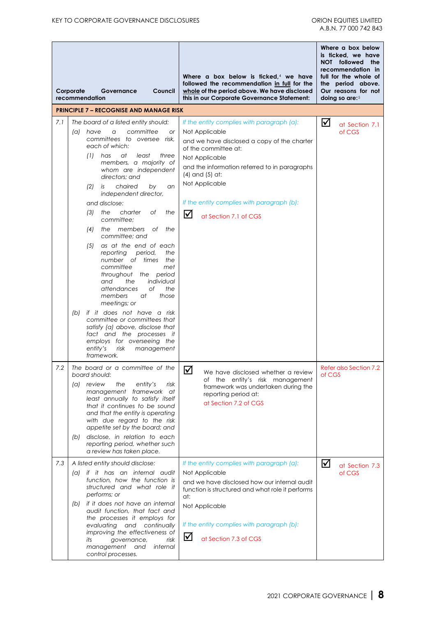|     | Corporate<br>Governance<br>Council<br>recommendation                                                                                                                                                                                                                                                                                                                                                                                                                                                                                                                                                                     | Where a box below is ficked, $4$ we have<br>followed the recommendation in full for the<br>whole of the period above. We have disclosed<br>this in our Corporate Governance Statement:                                                                                                                                      | Where a box below<br>is ticked, we have<br>NOT followed<br>the<br>recommendation in<br>full for the whole of<br>the period above.<br>Our reasons for not<br>doing so are: $5$ |
|-----|--------------------------------------------------------------------------------------------------------------------------------------------------------------------------------------------------------------------------------------------------------------------------------------------------------------------------------------------------------------------------------------------------------------------------------------------------------------------------------------------------------------------------------------------------------------------------------------------------------------------------|-----------------------------------------------------------------------------------------------------------------------------------------------------------------------------------------------------------------------------------------------------------------------------------------------------------------------------|-------------------------------------------------------------------------------------------------------------------------------------------------------------------------------|
|     | <b>PRINCIPLE 7 - RECOGNISE AND MANAGE RISK</b>                                                                                                                                                                                                                                                                                                                                                                                                                                                                                                                                                                           |                                                                                                                                                                                                                                                                                                                             |                                                                                                                                                                               |
| 7.1 | The board of a listed entity should:<br>committee<br>(a) have<br>a<br>or<br>committees to oversee risk,<br>each of which:<br>has<br>at<br>least<br>(1)<br>three<br>members, a majority of<br>whom are independent<br>directors: and<br>chaired<br>(2)<br>by<br>is<br>an<br>independent director,<br>and disclose:<br>charter<br>(3)<br>the<br>Οf<br>the<br>committee;<br>the members<br>of<br>the<br>(4)<br>committee; and<br>as at the end of each<br>(5)<br>reporting<br>period,<br>the<br>number of times<br>the<br>committee<br>met<br>throughout the period<br>individual<br>and<br>the<br>attendances<br>оf<br>the | If the entity complies with paragraph (a):<br>Not Applicable<br>and we have disclosed a copy of the charter<br>of the committee at:<br>Not Applicable<br>and the information referred to in paragraphs<br>$(4)$ and $(5)$ at:<br>Not Applicable<br>If the entity complies with paragraph (b):<br>☑<br>at Section 7.1 of CGS | ☑<br>at Section 7.1<br>of CGS                                                                                                                                                 |
|     | members<br>at<br>those<br>meetings; or<br>if it does not have a risk<br>(b)<br>committee or committees that<br>satisfy (a) above, disclose that<br>fact and the processes it<br>employs for overseeing the<br>entity's<br>risk<br>management<br>framework.                                                                                                                                                                                                                                                                                                                                                               |                                                                                                                                                                                                                                                                                                                             |                                                                                                                                                                               |
| 7.2 | The board or a committee of the<br>board should:<br>(a) review<br>the<br>entity's<br>risk<br>management framework at<br>least annually to satisfy itself<br>that it continues to be sound<br>and that the entity is operating<br>with due regard to the risk<br>appetite set by the board; and<br>disclose, in relation to each<br>(b)<br>reporting period, whether such<br>a review has taken place.                                                                                                                                                                                                                    | ☑<br>We have disclosed whether a review<br>of the entity's risk management<br>framework was undertaken during the<br>reporting period at:<br>at Section 7.2 of CGS                                                                                                                                                          | Refer also Section 7.2<br>of CGS                                                                                                                                              |
| 7.3 | A listed entity should disclose:<br>(a) if it has an internal audit<br>function, how the function is<br>structured and what role it<br>performs; or<br>if it does not have an internal<br>(b)<br>audit function, that fact and<br>the processes it employs for<br>evaluating and continually<br>improving the effectiveness of<br>its<br>governance,<br>risk<br>management<br>and<br>internal<br>control processes.                                                                                                                                                                                                      | If the entity complies with paragraph (a):<br>Not Applicable<br>and we have disclosed how our internal audit<br>function is structured and what role it performs<br>at:<br>Not Applicable<br>If the entity complies with paragraph (b):<br>☑<br>at Section 7.3 of CGS                                                       | ☑<br>at Section 7.3<br>of CGS                                                                                                                                                 |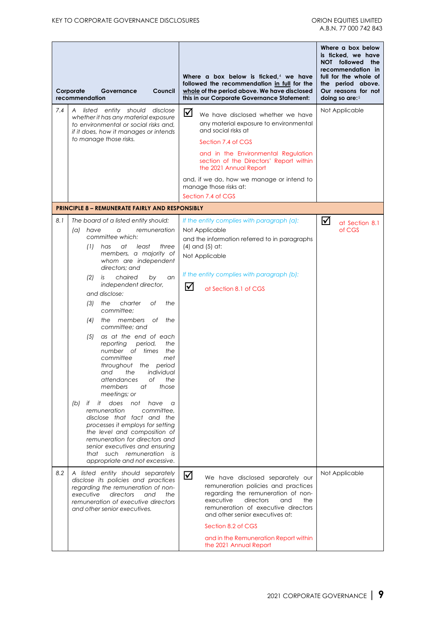|     | Corporate<br>Governance<br>Council<br>recommendation                                                                                                                                                                                                                                                                                                                                                                                                                                                                                                                                                                                                                                                                                                                                                                                                                                                                                                      | Where a box below is ficked, $4$ we have<br>followed the recommendation in full for the<br>whole of the period above. We have disclosed<br>this in our Corporate Governance Statement:                                                                                                                                                 | Where a box below<br>is ticked, we have<br>NOT followed the<br>recommendation in<br>full for the whole of<br>the period above.<br>Our reasons for not<br>doing so are:5 |
|-----|-----------------------------------------------------------------------------------------------------------------------------------------------------------------------------------------------------------------------------------------------------------------------------------------------------------------------------------------------------------------------------------------------------------------------------------------------------------------------------------------------------------------------------------------------------------------------------------------------------------------------------------------------------------------------------------------------------------------------------------------------------------------------------------------------------------------------------------------------------------------------------------------------------------------------------------------------------------|----------------------------------------------------------------------------------------------------------------------------------------------------------------------------------------------------------------------------------------------------------------------------------------------------------------------------------------|-------------------------------------------------------------------------------------------------------------------------------------------------------------------------|
| 7.4 | listed entity should<br>disclose<br>A<br>whether it has any material exposure<br>to environmental or social risks and.<br>if it does, how it manages or intends<br>to manage those risks.                                                                                                                                                                                                                                                                                                                                                                                                                                                                                                                                                                                                                                                                                                                                                                 | ☑<br>We have disclosed whether we have<br>any material exposure to environmental<br>and social risks at<br>Section 7.4 of CGS<br>and in the Environmental Regulation<br>section of the Directors' Report within<br>the 2021 Annual Report<br>and, if we do, how we manage or intend to<br>manage those risks at:<br>Section 7.4 of CGS | Not Applicable                                                                                                                                                          |
|     | <b>PRINCIPLE 8 - REMUNERATE FAIRLY AND RESPONSIBLY</b>                                                                                                                                                                                                                                                                                                                                                                                                                                                                                                                                                                                                                                                                                                                                                                                                                                                                                                    |                                                                                                                                                                                                                                                                                                                                        |                                                                                                                                                                         |
| 8.1 | The board of a listed entity should:<br>(a) have<br>remuneration<br>a<br>committee which:<br>at<br>(1)<br>has<br>least<br>three<br>members, a majority of<br>whom are independent<br>directors: and<br>chaired<br>(2)<br>is<br>by<br>an<br>independent director,<br>and disclose:<br>charter<br>Οf<br>the<br>(3)<br>the<br>committee:<br>members<br>the<br>(4)<br>Оf<br>the<br>committee; and<br>as at the end of each<br>(5)<br>the<br>reporting<br>period,<br>number of times<br>the<br>committee<br>met<br>throughout the period<br>the<br>individual<br>and<br>attendances<br>оf<br>the<br>those<br>members<br>at<br>meetings; or<br>does<br>it<br>not<br>have<br>(b)<br>if -<br>a<br>remuneration<br>committee,<br>disclose that fact and the<br>processes it employs for setting<br>the level and composition of<br>remuneration for directors and<br>senior executives and ensuring<br>that such remuneration is<br>appropriate and not excessive. | If the entity complies with paragraph (a):<br>Not Applicable<br>and the information referred to in paragraphs<br>$(4)$ and $(5)$ at:<br>Not Applicable<br>If the entity complies with paragraph (b):<br>☑<br>at Section 8.1 of CGS                                                                                                     | ☑<br>at Section 8.1<br>of CGS                                                                                                                                           |
| 8.2 | A listed entity should separately<br>disclose its policies and practices<br>regarding the remuneration of non-<br>executive<br>directors<br>and<br>the<br>remuneration of executive directors<br>and other senior executives.                                                                                                                                                                                                                                                                                                                                                                                                                                                                                                                                                                                                                                                                                                                             | ☑<br>We have disclosed separately our<br>remuneration policies and practices<br>regarding the remuneration of non-<br>executive<br>directors<br>and<br>the<br>remuneration of executive directors<br>and other senior executives at:<br>Section 8.2 of CGS<br>and in the Remuneration Report within<br>the 2021 Annual Report          | Not Applicable                                                                                                                                                          |